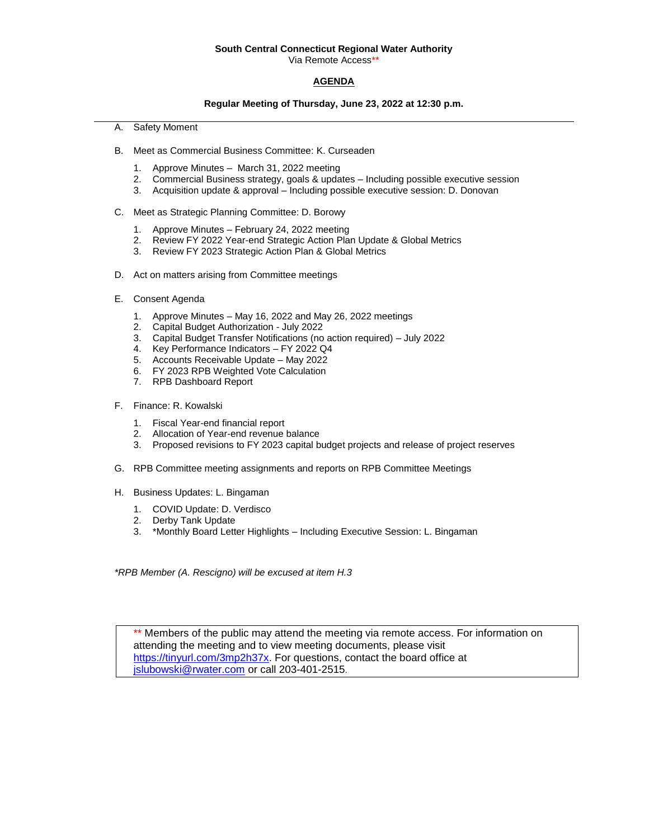# **South Central Connecticut Regional Water Authority**

Via Remote Access\*\*

### **AGENDA**

#### **Regular Meeting of Thursday, June 23, 2022 at 12:30 p.m.**

- A. Safety Moment
- B. Meet as Commercial Business Committee: K. Curseaden
	- 1. Approve Minutes March 31, 2022 meeting
	- 2. Commercial Business strategy, goals & updates Including possible executive session
	- 3. Acquisition update & approval Including possible executive session: D. Donovan
- C. Meet as Strategic Planning Committee: D. Borowy
	- 1. Approve Minutes February 24, 2022 meeting
	- 2. Review FY 2022 Year-end Strategic Action Plan Update & Global Metrics
	- 3. Review FY 2023 Strategic Action Plan & Global Metrics
- D. Act on matters arising from Committee meetings
- E. Consent Agenda
	- 1. Approve Minutes May 16, 2022 and May 26, 2022 meetings
	- 2. Capital Budget Authorization July 2022
	- 3. Capital Budget Transfer Notifications (no action required) July 2022
	- 4. Key Performance Indicators FY 2022 Q4
	- 5. Accounts Receivable Update May 2022
	- 6. FY 2023 RPB Weighted Vote Calculation
	- 7. RPB Dashboard Report
- F. Finance: R. Kowalski
	- 1. Fiscal Year-end financial report
	- 2. Allocation of Year-end revenue balance
	- 3. Proposed revisions to FY 2023 capital budget projects and release of project reserves
- G. RPB Committee meeting assignments and reports on RPB Committee Meetings
- H. Business Updates: L. Bingaman
	- 1. COVID Update: D. Verdisco
	- 2. Derby Tank Update
	- 3. \*Monthly Board Letter Highlights Including Executive Session: L. Bingaman

*\*RPB Member (A. Rescigno) will be excused at item H.3*

Members of the public may attend the meeting via remote access. For information on attending the meeting and to view meeting documents, please visit [https://tinyurl.com/3mp2h37x.](https://tinyurl.com/3mp2h37x) For questions, contact the board office at [jslubowski@rwater.com](mailto:jslubowski@rwater.com) or call 203-401-2515.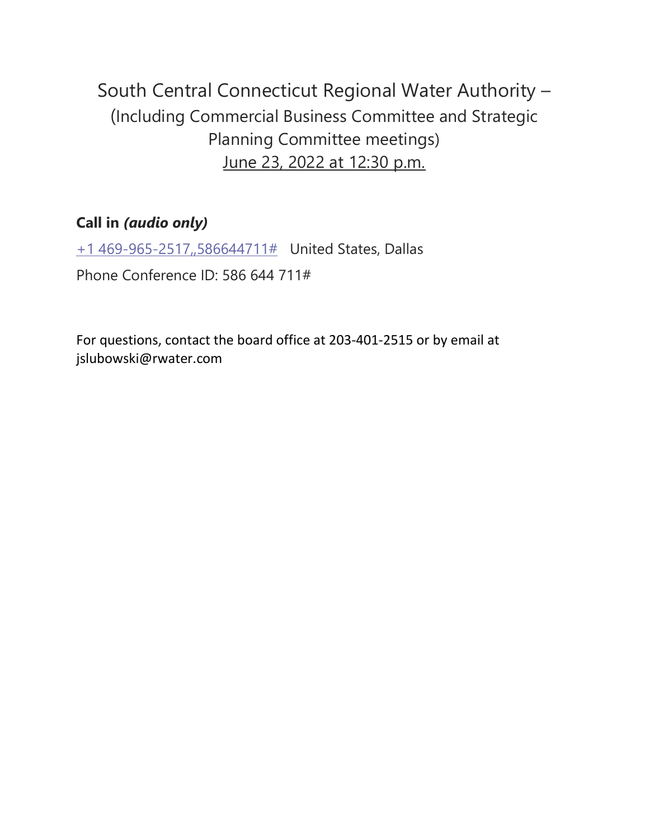South Central Connecticut Regional Water Authority – (Including Commercial Business Committee and Strategic Planning Committee meetings) June 23, 2022 at 12:30 p.m.

# **Call in** *(audio only)*

[+1 469-965-2517,,586644711#](tel:+14699652517,,586644711# ) United States, Dallas Phone Conference ID: 586 644 711#

For questions, contact the board office at 203-401-2515 or by email at jslubowski@rwater.com